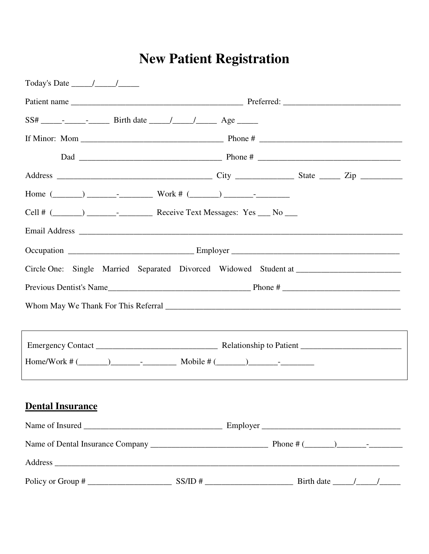# **New Patient Registration**

| Today's Date $\frac{\sqrt{2}}{2}$                                                |  |  |  |  |  |  |  |
|----------------------------------------------------------------------------------|--|--|--|--|--|--|--|
|                                                                                  |  |  |  |  |  |  |  |
|                                                                                  |  |  |  |  |  |  |  |
|                                                                                  |  |  |  |  |  |  |  |
|                                                                                  |  |  |  |  |  |  |  |
|                                                                                  |  |  |  |  |  |  |  |
| Home $(\_\_\_\_\_\_\_\_\_\_\_\_$ Work # $(\_\_\_\_\_\_\_\_\_\_\_$                |  |  |  |  |  |  |  |
|                                                                                  |  |  |  |  |  |  |  |
|                                                                                  |  |  |  |  |  |  |  |
|                                                                                  |  |  |  |  |  |  |  |
|                                                                                  |  |  |  |  |  |  |  |
|                                                                                  |  |  |  |  |  |  |  |
|                                                                                  |  |  |  |  |  |  |  |
|                                                                                  |  |  |  |  |  |  |  |
| ,我们也不会有什么。""我们的人,我们也不会有什么?""我们的人,我们也不会有什么?""我们的人,我们也不会有什么?""我们的人,我们也不会有什么?""我们的人 |  |  |  |  |  |  |  |
|                                                                                  |  |  |  |  |  |  |  |
|                                                                                  |  |  |  |  |  |  |  |
|                                                                                  |  |  |  |  |  |  |  |
| <b>Dental Insurance</b>                                                          |  |  |  |  |  |  |  |
|                                                                                  |  |  |  |  |  |  |  |
|                                                                                  |  |  |  |  |  |  |  |
|                                                                                  |  |  |  |  |  |  |  |
| Policy or Group #                                                                |  |  |  |  |  |  |  |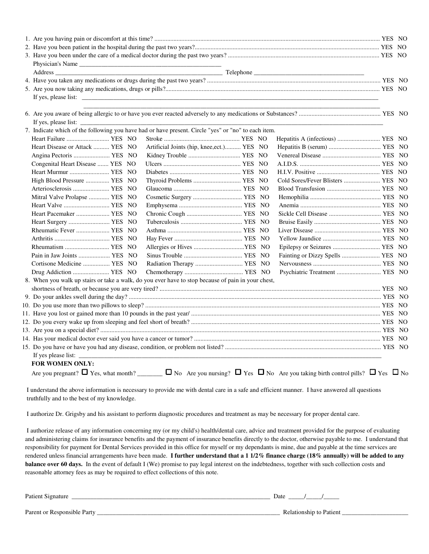| Physician's Name                                                                                    |                                            |  |                                                    |  |  |
|-----------------------------------------------------------------------------------------------------|--------------------------------------------|--|----------------------------------------------------|--|--|
| Address                                                                                             |                                            |  |                                                    |  |  |
|                                                                                                     |                                            |  |                                                    |  |  |
|                                                                                                     |                                            |  |                                                    |  |  |
|                                                                                                     |                                            |  |                                                    |  |  |
|                                                                                                     |                                            |  |                                                    |  |  |
| If yes, please list:                                                                                |                                            |  | <u> 1980 - Jan James, martin amerikan basar da</u> |  |  |
| 7. Indicate which of the following you have had or have present. Circle "yes" or "no" to each item. |                                            |  |                                                    |  |  |
| Heart Failure  YES NO                                                                               |                                            |  |                                                    |  |  |
| Heart Disease or Attack  YES NO                                                                     | Artificial Joints (hip, knee, ect.) YES NO |  |                                                    |  |  |
| Angina Pectoris  YES NO                                                                             |                                            |  |                                                    |  |  |
| Congenital Heart Disease  YES NO                                                                    |                                            |  |                                                    |  |  |
| Heart Murmur  YES NO                                                                                |                                            |  |                                                    |  |  |
| High Blood Pressure  YES NO                                                                         | Thyroid Problems  YES NO                   |  | Cold Sores/Fever Blisters  YES NO                  |  |  |
| Arteriosclerosis  YES NO                                                                            |                                            |  |                                                    |  |  |
| Mitral Valve Prolapse  YES NO                                                                       |                                            |  |                                                    |  |  |
|                                                                                                     |                                            |  |                                                    |  |  |
| Heart Pacemaker  YES NO                                                                             |                                            |  |                                                    |  |  |
| Heart Surgery  YES NO                                                                               |                                            |  |                                                    |  |  |
| Rheumatic Fever  YES NO                                                                             |                                            |  |                                                    |  |  |
|                                                                                                     |                                            |  |                                                    |  |  |
| Rheumatism  YES NO                                                                                  |                                            |  |                                                    |  |  |
| Pain in Jaw Joints  YES NO                                                                          |                                            |  | Fainting or Dizzy Spells  YES NO                   |  |  |
| Cortisone Medicine  YES NO                                                                          |                                            |  |                                                    |  |  |
| Drug Addiction  YES NO                                                                              |                                            |  | Psychiatric Treatment  YES NO                      |  |  |
| 8. When you walk up stairs or take a walk, do you ever have to stop because of pain in your chest,  |                                            |  |                                                    |  |  |
|                                                                                                     |                                            |  |                                                    |  |  |
|                                                                                                     |                                            |  |                                                    |  |  |
|                                                                                                     |                                            |  |                                                    |  |  |
|                                                                                                     |                                            |  |                                                    |  |  |
|                                                                                                     |                                            |  |                                                    |  |  |
|                                                                                                     |                                            |  |                                                    |  |  |
|                                                                                                     |                                            |  |                                                    |  |  |
|                                                                                                     |                                            |  |                                                    |  |  |
| If yes please list: _                                                                               |                                            |  |                                                    |  |  |
| <b>FOR WOMEN ONLY:</b>                                                                              |                                            |  |                                                    |  |  |
|                                                                                                     |                                            |  |                                                    |  |  |
|                                                                                                     |                                            |  |                                                    |  |  |

I understand the above information is necessary to provide me with dental care in a safe and efficient manner. I have answered all questions truthfully and to the best of my knowledge.

I authorize Dr. Grigsby and his assistant to perform diagnostic procedures and treatment as may be necessary for proper dental care.

I authorize release of any information concerning my (or my child's) health/dental care, advice and treatment provided for the purpose of evaluating and administering claims for insurance benefits and the payment of insurance benefits directly to the doctor, otherwise payable to me. I understa responsibility for payment for Dental Services provided in this office for myself or my dependants is mine, due and payable at the time services are rendered unless financial arrangements have been made. I further understand that a 1 1/2% finance charge (18% **balance over 60 days.** In the event of default I (We) promise to pay legal interest on the indebtedness, together with such collection costs and reasonable attorney fees as may be required to effect collections of this note. Patient Signature \_\_\_\_\_\_\_\_\_\_\_\_\_\_\_\_\_\_\_\_\_\_\_\_\_\_\_\_\_\_\_\_\_\_\_\_\_\_\_\_\_\_\_\_\_\_\_\_\_\_ fees be required \_\_\_\_\_\_\_\_\_\_\_\_\_\_\_\_\_\_\_\_\_\_\_\_\_\_\_\_\_\_\_\_\_\_\_\_\_\_ Date \_\_\_\_\_/\_\_\_\_\_/\_\_\_\_\_ balance over 60 days. In the event of default I (We) promise to pay legal interest on the indebtedness, together with such collection costs and reasonable attorney fees as may be required to effect collections of this note d the above information is necessary to provide me with dental care in a safe and efficient manner. I have answered all questions<br>and to the best of my knowledge.<br>Dr. Grigsby and his assistant to perform diagnostic procedu understand that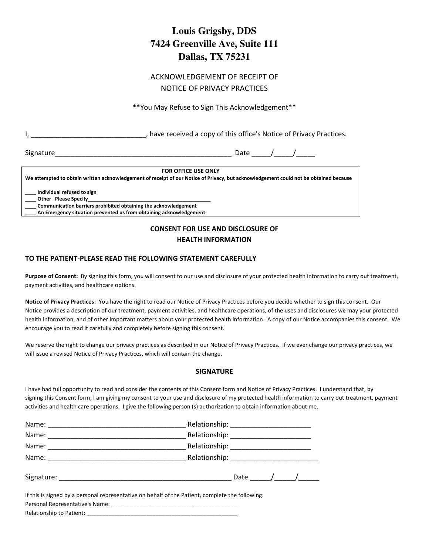# **Louis Grigsby, DDS 7424 Greenville Ave, Suite 111 Dallas, TX 75231**

## ACKNOWLEDGEMENT OF RECEIPT OF NOTICE OF PRIVACY PRACTICES

\*\*You May Refuse to Sign This Acknowledgement\*\*

I, **I**, **I** and the received a copy of this office's Notice of Privacy Practices.

Signature\_\_\_\_\_\_\_\_\_\_\_\_\_\_\_\_\_\_\_\_\_\_\_\_\_\_\_\_\_\_\_\_\_\_\_\_\_\_\_\_\_\_\_\_\_\_ Date \_\_\_\_\_/\_\_\_\_\_/\_\_\_\_\_

#### **FOR OFFICE USE ONLY**

**We attempted to obtain written acknowledgement of receipt of our Notice of Privacy, but acknowledgement could not be obtained because**

**\_\_\_\_ Individual refused to sign**

**Other Please Specify\_ \_\_\_\_ Communication barriers prohibited obtaining the acknowledgement** 

**\_\_\_\_ An Emergency situation prevented us from obtaining acknowledgement** 

## **CONSENT FOR USE AND DISCLOSURE OF HEALTH INFORMATION**

## **TO THE PATIENT-PLEASE READ THE FOLLOWING STATEMENT CAREFULLY**

Purpose of Consent: By signing this form, you will consent to our use and disclosure of your protected health information to carry out treatment, payment activities, and healthcare options.

**Notice of Privacy Practices:** You have the right to read our Notice of Privacy Practices before you decide whether to sign this consent. Our Notice provides a description of our treatment, payment activities, and healthcare operations, of the uses and disclosures we may your protected health information, and of other important matters about your protected health information. A copy of our Notice accompanies this consent. We encourage you to read it carefully and completely before signing this consent.

We reserve the right to change our privacy practices as described in our Notice of Privacy Practices. If we ever change our privacy practices, we will issue a revised Notice of Privacy Practices, which will contain the change.

## **SIGNATURE**

I have had full opportunity to read and consider the contents of this Consent form and Notice of Privacy Practices. I understand that, by signing this Consent form, I am giving my consent to your use and disclosure of my protected health information to carry out treatment, payment activities and health care operations. I give the following person (s) authorization to obtain information about me.

|                                                                                                                                      | Date / / |  |  |  |  |  |  |
|--------------------------------------------------------------------------------------------------------------------------------------|----------|--|--|--|--|--|--|
| If this is signed by a personal representative on behalf of the Patient, complete the following:<br>Borsonal Bonroscontativols Namou |          |  |  |  |  |  |  |

Personal Representative's Name: \_\_\_\_\_\_\_\_\_\_\_\_\_\_\_\_\_\_\_\_\_\_\_\_\_\_\_\_\_\_\_\_\_\_\_\_\_\_\_\_ Relationship to Patient: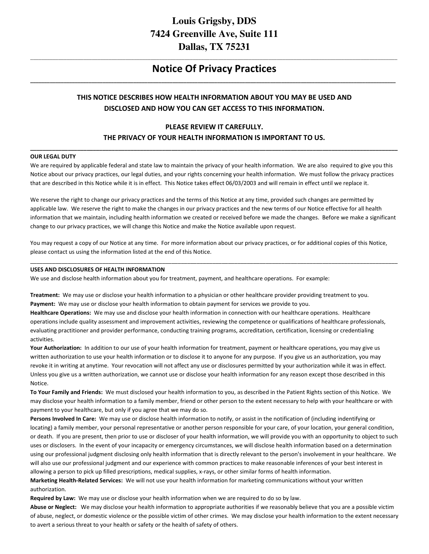## **Louis Grigsby, DDS 7424 Greenville Ave, Suite 111 Dallas, TX 75231**

## **\_\_\_\_\_\_\_\_\_\_\_\_\_\_\_\_\_\_\_\_\_\_\_\_\_\_\_\_\_\_\_\_\_\_\_\_\_\_\_\_\_\_\_\_\_\_\_\_\_\_\_\_\_\_\_\_\_\_\_\_\_\_\_\_\_\_\_\_\_\_\_\_\_\_\_\_\_\_\_\_\_\_\_\_\_\_\_\_\_\_\_\_\_\_\_\_\_\_\_\_\_\_\_\_\_\_\_\_\_\_\_\_\_\_\_\_\_\_\_\_\_\_\_\_\_\_\_\_\_\_\_ Notice Of Privacy Practices \_\_\_\_\_\_\_\_\_\_\_\_\_\_\_\_\_\_\_\_\_\_\_\_\_\_\_\_\_\_\_\_\_\_\_\_\_\_\_\_\_\_\_\_\_\_\_\_\_\_\_\_\_\_\_\_\_\_\_\_\_\_\_\_\_\_\_\_\_\_\_\_\_\_\_\_\_\_\_\_\_\_\_\_\_\_\_\_\_\_\_\_\_\_\_\_\_\_\_\_\_\_\_\_\_\_\_\_\_\_\_\_\_\_\_\_\_\_\_\_\_\_\_\_\_\_\_\_\_\_\_**

## **THIS NOTICE DESCRIBES HOW HEALTH INFORMATION ABOUT YOU MAY BE USED AND DISCLOSED AND HOW YOU CAN GET ACCESS TO THIS INFORMATION.**

## **PLEASE REVIEW IT CAREFULLY. THE PRIVACY OF YOUR HEALTH INFORMATION IS IMPORTANT TO US.**

**\_\_\_\_\_\_\_\_\_\_\_\_\_\_\_\_\_\_\_\_\_\_\_\_\_\_\_\_\_\_\_\_\_\_\_\_\_\_\_\_\_\_\_\_\_\_\_\_\_\_\_\_\_\_\_\_\_\_\_\_\_\_\_\_\_\_\_\_\_\_\_\_\_\_\_\_\_\_\_\_\_\_\_\_\_\_\_\_\_\_\_\_\_\_\_\_\_\_\_\_\_\_\_\_\_\_\_\_\_\_\_\_\_\_\_\_\_** 

#### **OUR LEGAL DUTY**

We are required by applicable federal and state law to maintain the privacy of your health information. We are also required to give you this Notice about our privacy practices, our legal duties, and your rights concerning your health information. We must follow the privacy practices that are described in this Notice while it is in effect. This Notice takes effect 06/03/2003 and will remain in effect until we replace it.

We reserve the right to change our privacy practices and the terms of this Notice at any time, provided such changes are permitted by applicable law. We reserve the right to make the changes in our privacy practices and the new terms of our Notice effective for all health information that we maintain, including health information we created or received before we made the changes. Before we make a significant change to our privacy practices, we will change this Notice and make the Notice available upon request.

You may request a copy of our Notice at any time. For more information about our privacy practices, or for additional copies of this Notice, please contact us using the information listed at the end of this Notice.

\_\_\_\_\_\_\_\_\_\_\_\_\_\_\_\_\_\_\_\_\_\_\_\_\_\_\_\_\_\_\_\_\_\_\_\_\_\_\_\_\_\_\_\_\_\_\_\_\_\_\_\_\_\_\_\_\_\_\_\_\_\_\_\_\_\_\_\_\_\_\_\_\_\_\_\_\_\_\_\_\_\_\_\_\_\_\_\_\_\_\_\_\_\_\_\_\_\_\_\_\_\_\_\_\_\_\_\_\_\_\_\_\_\_\_\_\_

#### **USES AND DISCLOSURES OF HEALTH INFORMATION**

We use and disclose health information about you for treatment, payment, and healthcare operations. For example:

**Treatment:** We may use or disclose your health information to a physician or other healthcare provider providing treatment to you. **Payment:** We may use or disclose your health information to obtain payment for services we provide to you.

**Healthcare Operations:** We may use and disclose your health information in connection with our healthcare operations. Healthcare operations include quality assessment and improvement activities, reviewing the competence or qualifications of healthcare professionals, evaluating practitioner and provider performance, conducting training programs, accreditation, certification, licensing or credentialing activities.

**Your Authorization:** In addition to our use of your health information for treatment, payment or healthcare operations, you may give us written authorization to use your health information or to disclose it to anyone for any purpose. If you give us an authorization, you may revoke it in writing at anytime. Your revocation will not affect any use or disclosures permitted by your authorization while it was in effect. Unless you give us a written authorization, we cannot use or disclose your health information for any reason except those described in this Notice.

**To Your Family and Friends:** We must disclosed your health information to you, as described in the Patient Rights section of this Notice. We may disclose your health information to a family member, friend or other person to the extent necessary to help with your healthcare or with payment to your healthcare, but only if you agree that we may do so.

**Persons Involved In Care:** We may use or disclose health information to notify, or assist in the notification of (including indentifying or locating) a family member, your personal representative or another person responsible for your care, of your location, your general condition, or death. If you are present, then prior to use or discloser of your health information, we will provide you with an opportunity to object to such uses or disclosers. In the event of your incapacity or emergency circumstances, we will disclose health information based on a determination using our professional judgment disclosing only health information that is directly relevant to the person's involvement in your healthcare. We will also use our professional judgment and our experience with common practices to make reasonable inferences of your best interest in allowing a person to pick up filled prescriptions, medical supplies, x-rays, or other similar forms of health information.

**Marketing Health-Related Services:** We will not use your health information for marketing communications without your written authorization.

**Required by Law:** We may use or disclose your health information when we are required to do so by law.

**Abuse or Neglect:** We may disclose your health information to appropriate authorities if we reasonably believe that you are a possible victim of abuse, neglect, or domestic violence or the possible victim of other crimes. We may disclose your health information to the extent necessary to avert a serious threat to your health or safety or the health of safety of others.